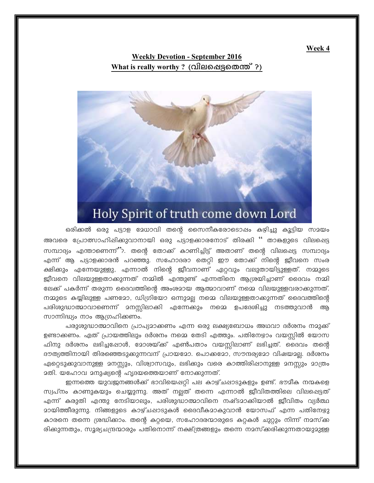Week 4

## **Weekly Devotion - September 2016** <u>What is really worthy ? (വിലപ്പെട്ട</u>തെന്ത് ?)



## ഒരിക്കൽ ഒരു പട്ടാള മേധാവി തന്റെ സൈനീകരോടൊപ്പം കഴിച്ചു കൂട്ടിയ സമയം അവരെ പ്രോത്സാഹിഷിക്കുവാനായി ഒരു പട്ടാളക്കാരനോട് തിരക്കി '' താങ്കളുടെ വിലപ്പെട്ട സമ്പാദ്യം എന്താണെന്ന്"?. തന്റെ തോക്ക് കാണിച്ചിട്ട് അതാണ് തന്റെ വിലപ്പെട്ട സമ്പാദ്യം എന്ന് ആ പട്ടാളക്കാരൻ പറഞ്ഞു. സഹോദരാ തെറ്റി ഈ തോക്ക് നിന്റെ ജീവനെ സംര ക്ഷിക്കും എന്നേയുള്ളു, എന്നാൽ നിന്റെ ജീവനാണ് ഏറ്റവും വലുതായിട്ടുള്ളത്. നമ്മുടെ ജീവനെ വിലയുള്ളതാക്കുന്നത് നമ്മിൽ എന്തുണ്ട് എന്നതിനെ ആശ്രയിച്ചാണ് ദൈവം നമ്മി ലേക്ക് പകർന്ന് തരുന്ന ദൈവത്തിന്റെ അംശമായ ആത്മാവാണ് നമ്മെ വിലയുള്ളവരാക്കുന്നത്. നമ്മുടെ കയ്യിലുള്ള പണമോ, ഡിഗ്രിയോ ഒന്നുമല്ല നമ്മെ വിലയുള്ളതാക്കുന്നത് ദൈവത്തിന്റെ പരിശുദ്ധാത്മാവാണെന്ന് മനസ്സിലാക്കി എന്നേക്കും നമ്മെ ഉപദേശിച്ചു നടത്തുവാൻ ആ

പരുശുദ്ധാത്മാവിനെ പ്രാപ്യമാക്കണം എന്ന ഒരു ലക്ഷ്യബോധം അഥവാ ദർശനം നമുക്ക് ഉണ്ടാക്കണം. ഏത് പ്രായത്തിലും ദർശനം നമ്മെ തേടി എത്തും. പതിനേഴാം വയസ്സിൽ യോസ ഫിനു ദർശനം ലഭിച്ചപ്പോൾ, മോശയ്ക്ക് എൺപതാം വയസ്സിലാണ് ലഭിച്ചത്. ദൈവം തന്റെ ദൗത്യത്തിനായി തിരഞ്ഞെടുക്കുന്നവന് പ്രായമോ. പൊക്കമോ, സൗന്ദര്യമോ വിഷയമല്ല. ദർശനം ഏറ്റെടുക്കുവാനുള്ള മനസ്സും, വിശ്വാസവും, ലഭിക്കും വരെ കാത്തിരിഷാനുള്ള മനസ്സും മാത്രം മതി. യഹോവ മനുഷ്യന്റെ ഹൃദയത്തെയാണ് നോക്കുന്നത്.

സാന്നിദ്ധ്യം നാം ആഗ്രഹിക്കണം.

ഇന്നത്തെ യുവജനങ്ങൾക്ക് ഭാവിയെപ്പറ്റി പല കാഴ്ചപ്പാടുകളും ഉണ്ട്. ഭൗമീക നന്മകളെ സ്വപ്നം കാണുകയും ചെയ്യുന്നു. അത് നല്ലത് തന്നെ എന്നാൽ ജീവിതത്തിലെ വിലപ്പെട്ടത് എന്ന് കരുതി എന്തു നേടിയാലും, പരിശുദ്ധാത്മാവിനെ നഷ്ടമാക്കിയാൽ ജീവിതം വ്യർത്ഥ <u> ദായിത്തീരുന്നു. നിങ്ങളുടെ കാഴ്ചപ്പാടുകൾ ദൈവീകദാകുവാൻ യോസഫ് എന്ന പതിനേഴു</u> കാരനെ തന്നെ ശ്രദ്ധിക്കാം. തന്റെ കറ്റയെ, സഹോദരന്മാരുടെ കറ്റകൾ ചുറ്റും നിന്ന് നമസ്ക്ക രിക്കുന്നതും, സൂര്യചന്ദ്രന്മാരും പതിനൊന്ന് നക്ഷ്ത്രങ്ങളും തന്നെ നമസ്ക്കരിക്കുന്നതായുമുള്ള